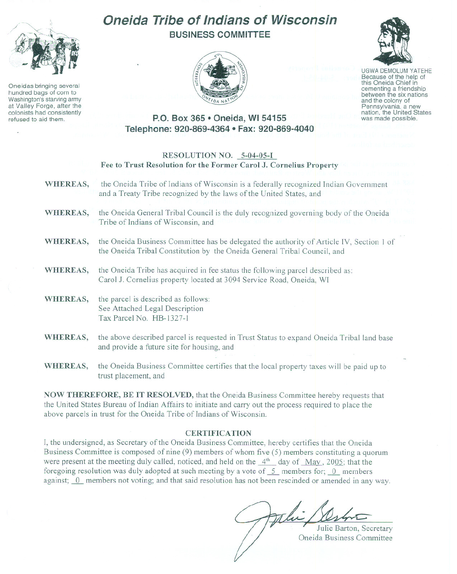

Oneidas bringing several hundred bags of corn to Washington's starving army at Valley Forge, after the colonists had consistently refused to aid them.

# **Oneida Tribe of Indians of Wisconsin BUSINESS COMMITTEE**





UGWA DEMOLUM YATEHE Because of the help of this Oneida Chief in<br>cementing a friendship cementing <sup>a</sup> friendship between the six nations and the colony of<br>Pennsylvania, a new nation, the United States was made possible.

## **P.O. Box 365 • Oneida, WI 54155 Telephone: 920-869-4364 • Fax: 920-869-4040**

#### **RESOLUTION NO. 5-04-05-1 Fee to Trust Resolution for the Former Carol J. Cornelius Propel'ty**

- **WHEREAS,** the Oneida Tribe of Indians of Wisconsin is a federally recognized Indian Government and a Treaty Tribe recognized by the laws of the United States, and **WHEREAS,** the Oneida General Tribal Council is the duly recognized governing body of the Oneida Tribe of Indians of Wisconsin, and
- **WHEREAS,** the Oneida Business Committee has be delegated the authority of Article IV, Section I of the Oneida Tribal Constitution by the Oneida General Tribal Council, and
- **WHEREAS,** the Oneida Tribe has acquired in fee status the following parcel described as: Carol J. Cornelius property located at 3094 Service Road, Oneida, WI
- **WHEREAS,** the parcel is described as follows: See Attached Legal Description Tax Parcel No. HB-1327-1
- WHEREAS, the above described parcel is requested in Trust Status to expand Oneida Tribal land base and provide a future site for housing, and
- WHEREAS, the Oneida Business Committee certifies that the local property taxes will be paid up to trust placement, and

**NOW THEREFORE, BE IT RESOLVED,** that the Oneida Business Committee hereby requests that the United States Bureau of Indian Affairs to initiate and carry out the process required to place the above parcels in trust for the Oneida Tribe of Indians of Wisconsin.

### **CERTIFICA TION**

**I,** the undersigned, as Secretary of the Oneida Business Committee, hereby certifies that the Oneida Business Committee is composed of nine (9) members of whom five (5) members constituting a quorum were present at the meeting duly called, noticed, and held on the  $4<sup>th</sup>$  day of  $May$ , 2005; that the foregoing resolution was duly adopted at such meeting by a vote of  $\overline{5}$  members for;  $\overline{0}$  members

against; <u>0</u> members not voting; and that said resolution has not been rescinded or amended in any way.<br>Ali plant Julie Barton, Secretary

Oneida Business Committee